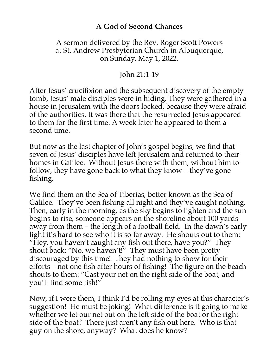## **A God of Second Chances**

## A sermon delivered by the Rev. Roger Scott Powers at St. Andrew Presbyterian Church in Albuquerque, on Sunday, May 1, 2022.

## John 21:1-19

After Jesus' crucifixion and the subsequent discovery of the empty tomb, Jesus' male disciples were in hiding. They were gathered in a house in Jerusalem with the doors locked, because they were afraid of the authorities. It was there that the resurrected Jesus appeared to them for the first time. A week later he appeared to them a second time.

But now as the last chapter of John's gospel begins, we find that seven of Jesus' disciples have left Jerusalem and returned to their homes in Galilee. Without Jesus there with them, without him to follow, they have gone back to what they know – they've gone fishing.

We find them on the Sea of Tiberias, better known as the Sea of Galilee. They've been fishing all night and they've caught nothing. Then, early in the morning, as the sky begins to lighten and the sun begins to rise, someone appears on the shoreline about 100 yards away from them – the length of a football field. In the dawn's early light it's hard to see who it is so far away. He shouts out to them: "Hey, you haven't caught any fish out there, have you?" They shout back: "No, we haven't!" They must have been pretty discouraged by this time! They had nothing to show for their efforts – not one fish after hours of fishing! The figure on the beach shouts to them: "Cast your net on the right side of the boat, and you'll find some fish!"

Now, if I were them, I think I'd be rolling my eyes at this character's suggestion! He must be joking! What difference is it going to make whether we let our net out on the left side of the boat or the right side of the boat? There just aren't any fish out here. Who is that guy on the shore, anyway? What does he know?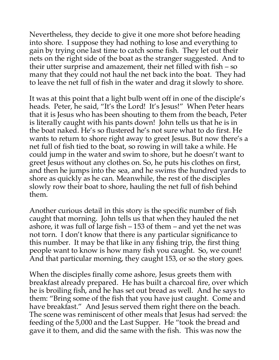Nevertheless, they decide to give it one more shot before heading into shore. I suppose they had nothing to lose and everything to gain by trying one last time to catch some fish. They let out their nets on the right side of the boat as the stranger suggested. And to their utter surprise and amazement, their net filled with fish – so many that they could not haul the net back into the boat. They had to leave the net full of fish in the water and drag it slowly to shore.

It was at this point that a light bulb went off in one of the disciple's heads. Peter, he said, "It's the Lord! It's Jesus!" When Peter hears that it is Jesus who has been shouting to them from the beach, Peter is literally caught with his pants down! John tells us that he is in the boat naked. He's so flustered he's not sure what to do first. He wants to return to shore right away to greet Jesus. But now there's a net full of fish tied to the boat, so rowing in will take a while. He could jump in the water and swim to shore, but he doesn't want to greet Jesus without any clothes on. So, he puts his clothes on first, and then he jumps into the sea, and he swims the hundred yards to shore as quickly as he can. Meanwhile, the rest of the disciples slowly row their boat to shore, hauling the net full of fish behind them.

Another curious detail in this story is the specific number of fish caught that morning. John tells us that when they hauled the net ashore, it was full of large fish – 153 of them – and yet the net was not torn. I don't know that there is any particular significance to this number. It may be that like in any fishing trip, the first thing people want to know is how many fish you caught. So, we count! And that particular morning, they caught 153, or so the story goes.

When the disciples finally come ashore, Jesus greets them with breakfast already prepared. He has built a charcoal fire, over which he is broiling fish, and he has set out bread as well. And he says to them: "Bring some of the fish that you have just caught. Come and have breakfast." And Jesus served them right there on the beach. The scene was reminiscent of other meals that Jesus had served: the feeding of the 5,000 and the Last Supper. He "took the bread and gave it to them, and did the same with the fish. This was now the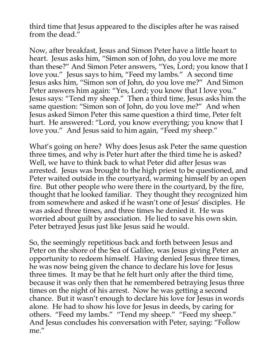third time that Jesus appeared to the disciples after he was raised from the dead."

Now, after breakfast, Jesus and Simon Peter have a little heart to heart. Jesus asks him, "Simon son of John, do you love me more than these?" And Simon Peter answers, "Yes, Lord; you know that I love you." Jesus says to him, "Feed my lambs." A second time Jesus asks him, "Simon son of John, do you love me?" And Simon Peter answers him again: "Yes, Lord; you know that I love you." Jesus says: "Tend my sheep." Then a third time, Jesus asks him the same question: "Simon son of John, do you love me?" And when Jesus asked Simon Peter this same question a third time, Peter felt hurt. He answered: "Lord, you know everything; you know that I love you." And Jesus said to him again, "Feed my sheep."

What's going on here? Why does Jesus ask Peter the same question three times, and why is Peter hurt after the third time he is asked? Well, we have to think back to what Peter did after Jesus was arrested. Jesus was brought to the high priest to be questioned, and Peter waited outside in the courtyard, warming himself by an open fire. But other people who were there in the courtyard, by the fire, thought that he looked familiar. They thought they recognized him from somewhere and asked if he wasn't one of Jesus' disciples. He was asked three times, and three times he denied it. He was worried about guilt by association. He lied to save his own skin. Peter betrayed Jesus just like Jesus said he would.

So, the seemingly repetitious back and forth between Jesus and Peter on the shore of the Sea of Galilee, was Jesus giving Peter an opportunity to redeem himself. Having denied Jesus three times, he was now being given the chance to declare his love for Jesus three times. It may be that he felt hurt only after the third time, because it was only then that he remembered betraying Jesus three times on the night of his arrest. Now he was getting a second chance. But it wasn't enough to declare his love for Jesus in words alone. He had to show his love for Jesus in deeds, by caring for others. "Feed my lambs." "Tend my sheep." "Feed my sheep." And Jesus concludes his conversation with Peter, saying: "Follow me."